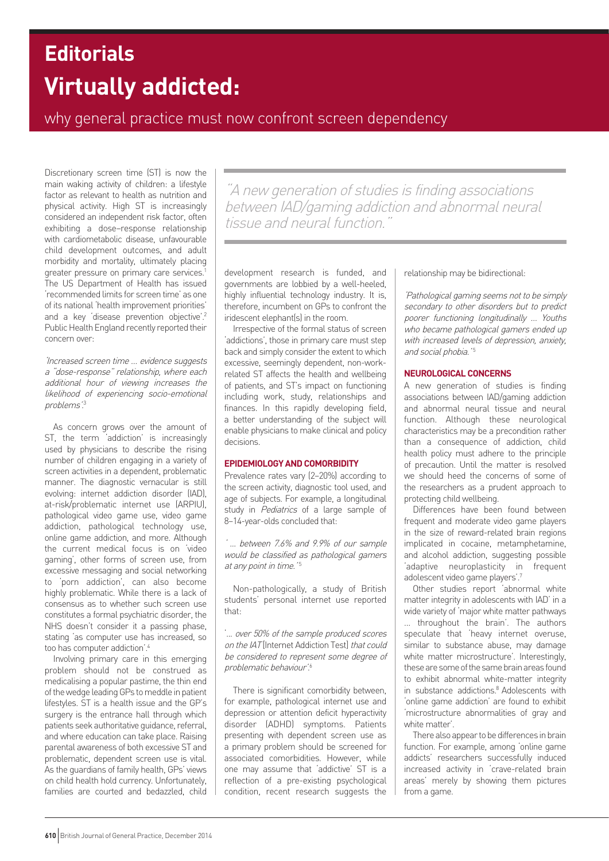# **Editorials Virtually addicted:**

why general practice must now confront screen dependency

Discretionary screen time (ST) is now the main waking activity of children: a lifestyle factor as relevant to health as nutrition and physical activity. High ST is increasingly considered an independent risk factor, often exhibiting a dose–response relationship with cardiometabolic disease, unfavourable child development outcomes, and adult morbidity and mortality, ultimately placing greater pressure on primary care services.<sup>1</sup> The US Department of Health has issued 'recommended limits for screen time' as one of its national 'health improvement priorities' and a key 'disease prevention objective'.<sup>2</sup> Public Health England recently reported their concern over:

'Increased screen time … evidence suggests <sup>a</sup>"dose-response" relationship, where each additional hour of viewing increases the likelihood of experiencing socio-emotional problems'.<sup>3</sup>

As concern grows over the amount of ST, the term 'addiction' is increasingly used by physicians to describe the rising number of children engaging in a variety of screen activities in a dependent, problematic manner. The diagnostic vernacular is still evolving: internet addiction disorder (IAD), at-risk/problematic internet use (ARPIU), pathological video game use, video game addiction, pathological technology use, online game addiction, and more. Although the current medical focus is on 'video gaming', other forms of screen use, from excessive messaging and social networking to 'porn addiction', can also become highly problematic. While there is a lack of consensus as to whether such screen use constitutes a formal psychiatric disorder, the NHS doesn't consider it a passing phase, stating 'as computer use has increased, so too has computer addiction'.4

Involving primary care in this emerging problem should not be construed as medicalising a popular pastime, the thin end of the wedge leading GPs to meddle in patient lifestyles. ST is a health issue and the GP's surgery is the entrance hall through which patients seek authoritative guidance, referral, and where education can take place. Raising parental awareness of both excessive ST and problematic, dependent screen use is vital. As the guardians of family health, GPs' views on child health hold currency. Unfortunately, families are courted and bedazzled, child

"A new generation of studies is finding associations between IAD/gaming addiction and abnormal neural tissue and neural function."

development research is funded, and governments are lobbied by a well-heeled, highly influential technology industry. It is, therefore, incumbent on GPs to confront the iridescent elephant(s) in the room.

Irrespective of the formal status of screen 'addictions', those in primary care must step back and simply consider the extent to which excessive, seemingly dependent, non-workrelated ST affects the health and wellbeing of patients, and ST's impact on functioning including work, study, relationships and finances. In this rapidly developing field, a better understanding of the subject will enable physicians to make clinical and policy decisions.

# **EPIDEMIOLOGY AND COMORBIDITY**

Prevalence rates vary (2–20%) according to the screen activity, diagnostic tool used, and age of subjects. For example, a longitudinal study in *Pediatrics* of a large sample of 8–14-year-olds concluded that:

... between 7.6% and 9.9% of our sample would be classified as pathological gamers at any point in time.<sup>'5</sup>

Non-pathologically, a study of British students' personal internet use reported that:

'... over 50% of the sample produced scores on the IAT [Internet Addiction Test] that could be considered to represent some degree of problematic behaviour'. 6

There is significant comorbidity between, for example, pathological internet use and depression or attention deficit hyperactivity disorder (ADHD) symptoms. Patients presenting with dependent screen use as a primary problem should be screened for associated comorbidities. However, while one may assume that 'addictive' ST is a reflection of a pre-existing psychological condition, recent research suggests the

relationship may be bidirectional:

'Pathological gaming seems not to be simply secondary to other disorders but to predict poorer functioning longitudinally … Youths who became pathological gamers ended up with increased levels of depression, anxiety, and social phobia.<sup>'5</sup>

## **NEUROLOGICAL CONCERNS**

A new generation of studies is finding associations between IAD/gaming addiction and abnormal neural tissue and neural function. Although these neurological characteristics may be a precondition rather than a consequence of addiction, child health policy must adhere to the principle of precaution. Until the matter is resolved we should heed the concerns of some of the researchers as a prudent approach to protecting child wellbeing.

Differences have been found between frequent and moderate video game players in the size of reward-related brain regions implicated in cocaine, metamphetamine, and alcohol addiction, suggesting possible 'adaptive neuroplasticity in frequent adolescent video game players'.7

Other studies report 'abnormal white matter integrity in adolescents with IAD' in a wide variety of 'major white matter pathways … throughout the brain'. The authors speculate that 'heavy internet overuse, similar to substance abuse, may damage white matter microstructure'. Interestingly, these are some of the same brain areas found to exhibit abnormal white-matter integrity in substance addictions.<sup>8</sup> Adolescents with 'online game addiction' are found to exhibit 'microstructure abnormalities of gray and white matter'.

There also appear to be differences in brain function. For example, among 'online game addicts' researchers successfully induced increased activity in 'crave-related brain areas' merely by showing them pictures from a game.